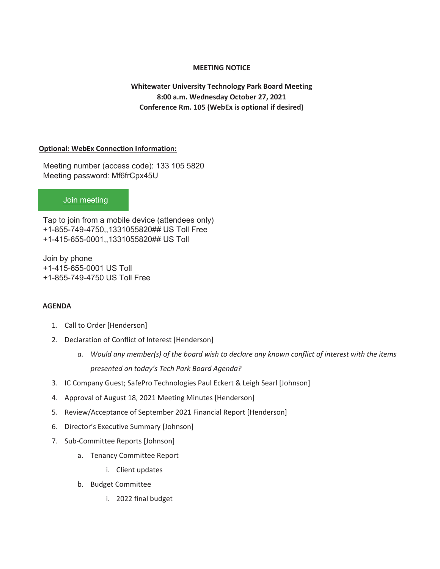## **MEETING NOTICE**

**Whitewater University Technology Park Board Meeting 8:00 a.m. Wednesday October 27, 2021 Conference Rm. 105 (WebEx is optional if desired)** 

### **Optional: WebEx Connection Information:**

Meeting number (access code): 133 105 5820 Meeting password: Mf6frCpx45U

## Join meeting

Tap to join from a mobile device (attendees only) +1-855-749-4750,,1331055820## US Toll Free +1-415-655-0001,,1331055820## US Toll

Join by phone +1-415-655-0001 US Toll +1-855-749-4750 US Toll Free

## **AGENDA**

- 1. Call to Order [Henderson]
- 2. Declaration of Conflict of Interest [Henderson]
	- *a. Would any member(s) of the board wish to declare any known conflict of interest with the items presented on today's Tech Park Board Agenda?*
- 3. IC Company Guest; SafePro Technologies Paul Eckert & Leigh Searl [Johnson]
- 4. Approval of August 18, 2021 Meeting Minutes [Henderson]
- 5. Review/Acceptance of September 2021 Financial Report [Henderson]
- 6. Director's Executive Summary [Johnson]
- 7. Sub-Committee Reports [Johnson]
	- a. Tenancy Committee Report
		- i. Client updates
	- b. Budget Committee
		- i. 2022 final budget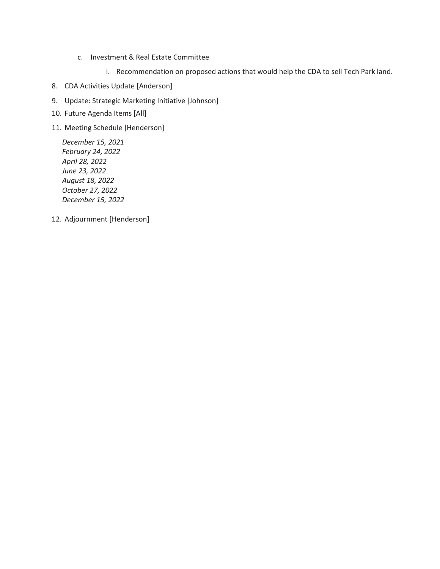- c. Investment & Real Estate Committee
	- i. Recommendation on proposed actions that would help the CDA to sell Tech Park land.
- 8. CDA Activities Update [Anderson]
- 9. Update: Strategic Marketing Initiative [Johnson]
- 10. Future Agenda Items [All]
- 11. Meeting Schedule [Henderson]

*December 15, 2021 February 24, 2022 April 28, 2022 June 23, 2022 August 18, 2022 October 27, 2022 December 15, 2022* 

12. Adjournment [Henderson]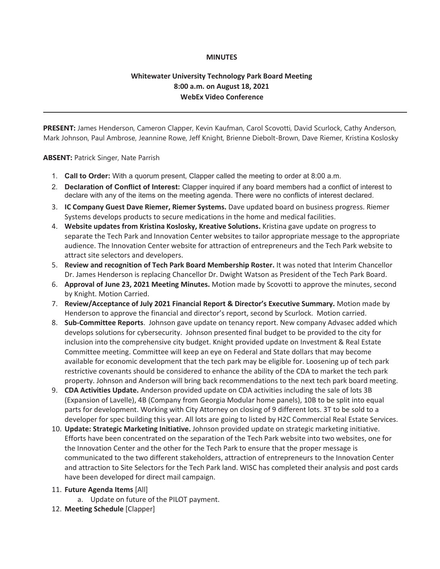### **MINUTES**

## **Whitewater University Technology Park Board Meeting 8:00 a.m. on August 18, 2021 WebEx Video Conference**

**PRESENT:** James Henderson, Cameron Clapper, Kevin Kaufman, Carol Scovotti, David Scurlock, Cathy Anderson, Mark Johnson, Paul Ambrose, Jeannine Rowe, Jeff Knight, Brienne Diebolt-Brown, Dave Riemer, Kristina Koslosky

**ABSENT:** Patrick Singer, Nate Parrish

- 1. **Call to Order:** With a quorum present, Clapper called the meeting to order at 8:00 a.m.
- 2. **Declaration of Conflict of Interest:** Clapper inquired if any board members had a conflict of interest to declare with any of the items on the meeting agenda. There were no conflicts of interest declared.
- 3. **IC Company Guest Dave Riemer, Riemer Systems.** Dave updated board on business progress. Riemer Systems develops products to secure medications in the home and medical facilities.
- 4. **Website updates from Kristina Koslosky, Kreative Solutions.** Kristina gave update on progress to separate the Tech Park and Innovation Center websites to tailor appropriate message to the appropriate audience. The Innovation Center website for attraction of entrepreneurs and the Tech Park website to attract site selectors and developers.
- 5. **Review and recognition of Tech Park Board Membership Roster.** It was noted that Interim Chancellor Dr. James Henderson is replacing Chancellor Dr. Dwight Watson as President of the Tech Park Board.
- 6. **Approval of June 23, 2021 Meeting Minutes.** Motion made by Scovotti to approve the minutes, second by Knight. Motion Carried.
- 7. **Review/Acceptance of July 2021 Financial Report & Director's Executive Summary.** Motion made by Henderson to approve the financial and director's report, second by Scurlock. Motion carried.
- 8. **Sub-Committee Reports**. Johnson gave update on tenancy report. New company Advasec added which develops solutions for cybersecurity. Johnson presented final budget to be provided to the city for inclusion into the comprehensive city budget. Knight provided update on Investment & Real Estate Committee meeting. Committee will keep an eye on Federal and State dollars that may become available for economic development that the tech park may be eligible for. Loosening up of tech park restrictive covenants should be considered to enhance the ability of the CDA to market the tech park property. Johnson and Anderson will bring back recommendations to the next tech park board meeting.
- 9. **CDA Activities Update.** Anderson provided update on CDA activities including the sale of lots 3B (Expansion of Lavelle), 4B (Company from Georgia Modular home panels), 10B to be split into equal parts for development. Working with City Attorney on closing of 9 different lots. 3T to be sold to a developer for spec building this year. All lots are going to listed by H2C Commercial Real Estate Services.
- 10. **Update: Strategic Marketing Initiative.** Johnson provided update on strategic marketing initiative. Efforts have been concentrated on the separation of the Tech Park website into two websites, one for the Innovation Center and the other for the Tech Park to ensure that the proper message is communicated to the two different stakeholders, attraction of entrepreneurs to the Innovation Center and attraction to Site Selectors for the Tech Park land. WISC has completed their analysis and post cards have been developed for direct mail campaign.

### 11. **Future Agenda Items** [All]

- a. Update on future of the PILOT payment.
- 12. **Meeting Schedule** [Clapper]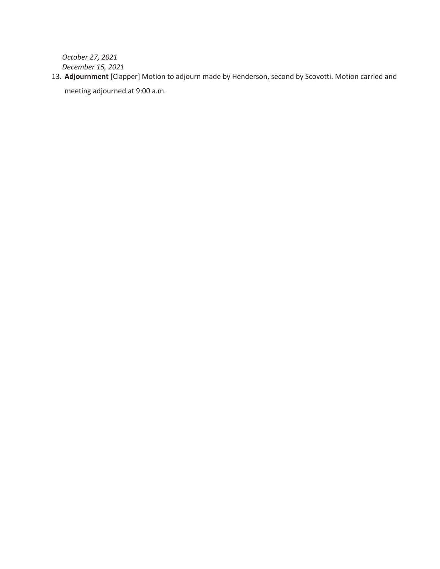*October 27, 2021 December 15, 2021* 

13. **Adjournment** [Clapper] Motion to adjourn made by Henderson, second by Scovotti. Motion carried and meeting adjourned at 9:00 a.m.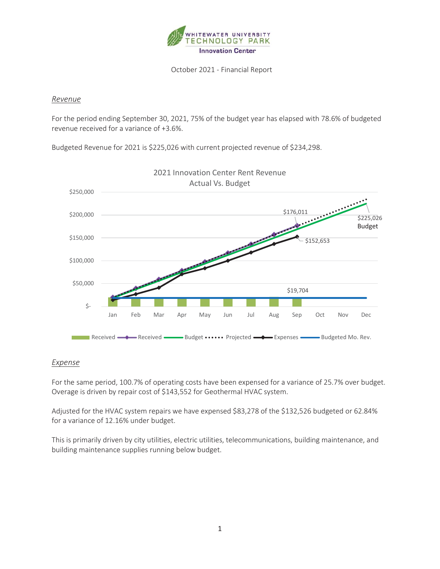

October 2021 - Financial Report

## Revenue

For the period ending September 30, 2021, 75% of the budget year has elapsed with 78.6% of budgeted revenue received for a variance of +3.6%.

Budgeted Revenue for 2021 is \$225,026 with current projected revenue of \$234,298.



## **Expense**

For the same period, 100.7% of operating costs have been expensed for a variance of 25.7% over budget. Overage is driven by repair cost of \$143,552 for Geothermal HVAC system.

Adjusted for the HVAC system repairs we have expensed \$83,278 of the \$132,526 budgeted or 62.84% for a variance of 12.16% under budget.

This is primarily driven by city utilities, electric utilities, telecommunications, building maintenance, and building maintenance supplies running below budget.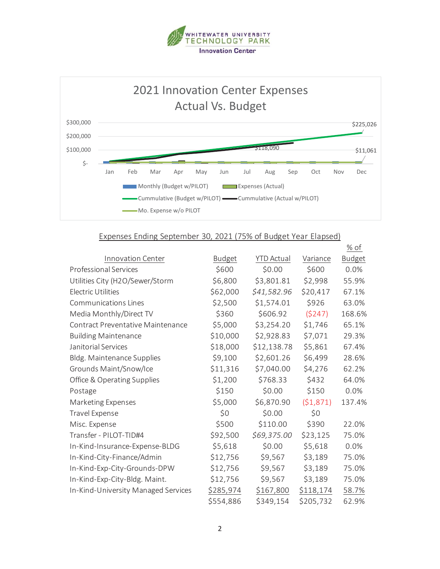



## Expenses Ending September 30, 2021 (75% of Budget Year Elapsed)

|                                     |               |                   |           | $%$ of        |
|-------------------------------------|---------------|-------------------|-----------|---------------|
| Innovation Center                   | <b>Budget</b> | <b>YTD Actual</b> | Variance  | <b>Budget</b> |
| <b>Professional Services</b>        | \$600         | \$0.00            | \$600     | 0.0%          |
| Utilities City (H2O/Sewer/Storm     | \$6,800       | \$3,801.81        | \$2,998   | 55.9%         |
| <b>Electric Utilities</b>           | \$62,000      | \$41,582.96       | \$20,417  | 67.1%         |
| <b>Communications Lines</b>         | \$2,500       | \$1,574.01        | \$926     | 63.0%         |
| Media Monthly/Direct TV             | \$360         | \$606.92          | (5247)    | 168.6%        |
| Contract Preventative Maintenance   | \$5,000       | \$3,254.20        | \$1,746   | 65.1%         |
| <b>Building Maintenance</b>         | \$10,000      | \$2,928.83        | \$7,071   | 29.3%         |
| Janitorial Services                 | \$18,000      | \$12,138.78       | \$5,861   | 67.4%         |
| Bldg. Maintenance Supplies          | \$9,100       | \$2,601.26        | \$6,499   | 28.6%         |
| Grounds Maint/Snow/Ice              | \$11,316      | \$7,040.00        | \$4,276   | 62.2%         |
| Office & Operating Supplies         | \$1,200       | \$768.33          | \$432     | 64.0%         |
| Postage                             | \$150         | \$0.00            | \$150     | 0.0%          |
| Marketing Expenses                  | \$5,000       | \$6,870.90        | (51, 871) | 137.4%        |
| Travel Expense                      | \$0           | \$0.00            | \$0       |               |
| Misc. Expense                       | \$500         | \$110.00          | \$390     | 22.0%         |
| Transfer - PILOT-TID#4              | \$92,500      | \$69,375.00       | \$23,125  | 75.0%         |
| In-Kind-Insurance-Expense-BLDG      | \$5,618       | \$0.00            | \$5,618   | 0.0%          |
| In-Kind-City-Finance/Admin          | \$12,756      | \$9,567           | \$3,189   | 75.0%         |
| In-Kind-Exp-City-Grounds-DPW        | \$12,756      | \$9,567           | \$3,189   | 75.0%         |
| In-Kind-Exp-City-Bldg. Maint.       | \$12,756      | \$9,567           | \$3,189   | 75.0%         |
| In-Kind-University Managed Services | \$285,974     | \$167,800         | \$118,174 | 58.7%         |
|                                     | \$554,886     | \$349,154         | \$205,732 | 62.9%         |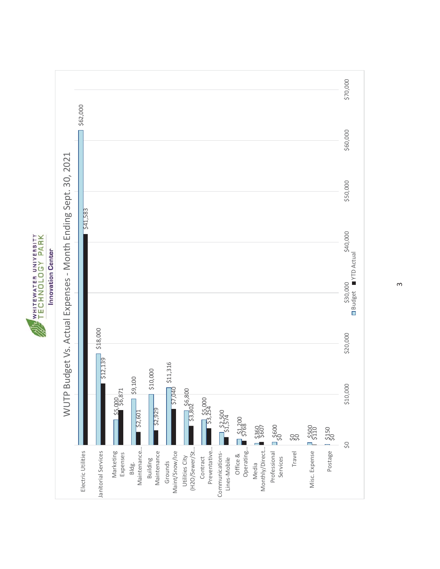



 $\infty$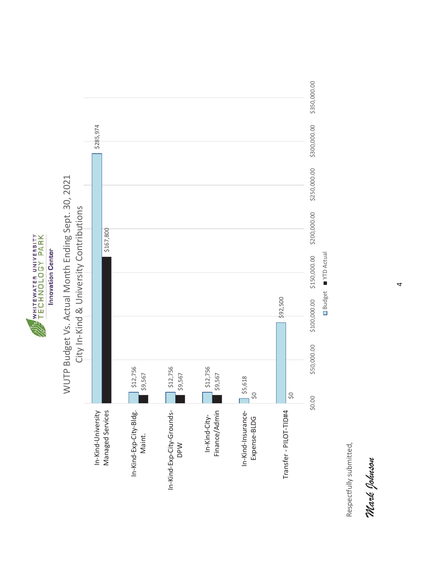





Respectfully submitted, Respectfully submitted,

*Mark Johnson*  Mark Johnson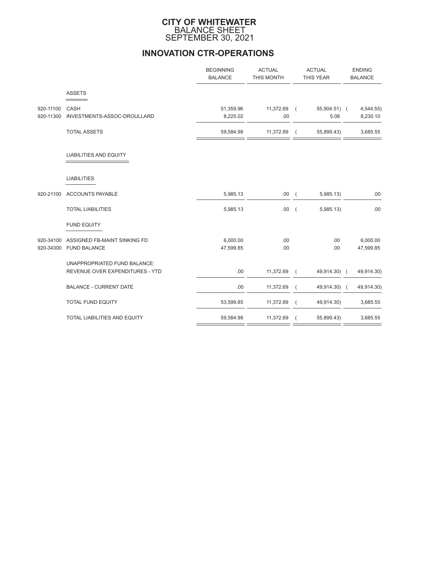### **CITY OF WHITEWATER** BALANCE SHEET SEPTEMBER 30, 2021

# **INNOVATION CTR-OPERATIONS**

|           |                                 | <b>BEGINNING</b><br><b>BALANCE</b> | <b>ACTUAL</b><br>THIS MONTH | <b>ACTUAL</b><br>THIS YEAR |              |  | <b>ENDING</b><br><b>BALANCE</b> |  |  |
|-----------|---------------------------------|------------------------------------|-----------------------------|----------------------------|--------------|--|---------------------------------|--|--|
|           | <b>ASSETS</b>                   |                                    |                             |                            |              |  |                                 |  |  |
| 920-11100 | CASH                            | 51,359.96                          | 11,372.69 (                 |                            | 55,904.51) ( |  | 4,544.55)                       |  |  |
| 920-11300 | INVESTMENTS-ASSOC-DROULLARD     | 8,225.02                           | .00                         |                            | 5.08         |  | 8,230.10                        |  |  |
|           | <b>TOTAL ASSETS</b>             | 59,584.98                          | 11,372.69                   |                            | 55,899.43)   |  | 3,685.55                        |  |  |
|           | <b>LIABILITIES AND EQUITY</b>   |                                    |                             |                            |              |  |                                 |  |  |
|           | <b>LIABILITIES</b>              |                                    |                             |                            |              |  |                                 |  |  |
| 920-21100 | <b>ACCOUNTS PAYABLE</b>         | 5,985.13                           | .00(                        |                            | 5,985.13     |  | .00                             |  |  |
|           | <b>TOTAL LIABILITIES</b>        | 5,985.13                           | .00.                        | $\overline{ }$             | 5,985.13)    |  | .00                             |  |  |
|           | <b>FUND EQUITY</b>              |                                    |                             |                            |              |  |                                 |  |  |
| 920-34100 | ASSIGNED FB-MAINT SINKING FD    | 6,000.00                           | .00                         |                            | .00.         |  | 6,000.00                        |  |  |
|           | 920-34300 FUND BALANCE          | 47,599.85                          | .00                         |                            | .00          |  | 47,599.85                       |  |  |
|           | UNAPPROPRIATED FUND BALANCE:    |                                    |                             |                            |              |  |                                 |  |  |
|           | REVENUE OVER EXPENDITURES - YTD | .00                                | 11,372.69                   | $\sqrt{ }$                 | 49,914.30) ( |  | 49,914.30)                      |  |  |
|           | <b>BALANCE - CURRENT DATE</b>   | .00                                | 11,372.69                   | $\overline{ }$             | 49,914.30) ( |  | 49,914.30)                      |  |  |
|           | <b>TOTAL FUND EQUITY</b>        | 53,599.85                          | 11,372.69                   | $\sqrt{2}$                 | 49,914.30)   |  | 3,685.55                        |  |  |
|           | TOTAL LIABILITIES AND EQUITY    | 59,584.98                          | 11,372.69                   |                            | 55,899.43)   |  | 3,685.55                        |  |  |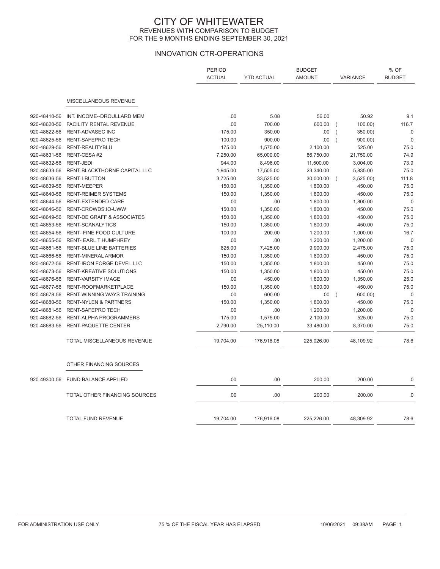### CITY OF WHITEWATER REVENUES WITH COMPARISON TO BUDGET FOR THE 9 MONTHS ENDING SEPTEMBER 30, 2021

## INNOVATION CTR-OPERATIONS

|              |                                       | <b>PERIOD</b><br><b>ACTUAL</b> | <b>YTD ACTUAL</b> | <b>BUDGET</b><br><b>AMOUNT</b> | VARIANCE       |           | % OF<br><b>BUDGET</b> |
|--------------|---------------------------------------|--------------------------------|-------------------|--------------------------------|----------------|-----------|-----------------------|
|              |                                       |                                |                   |                                |                |           |                       |
|              | MISCELLANEOUS REVENUE                 |                                |                   |                                |                |           |                       |
| 920-48410-56 | INT. INCOME--DROULLARD MEM            | .00                            | 5.08              | 56.00                          |                | 50.92     | 9.1                   |
| 920-48620-56 | <b>FACILITY RENTAL REVENUE</b>        | .00                            | 700.00            | 600.00                         | $\overline{ }$ | 100.00)   | 116.7                 |
| 920-48622-56 | <b>RENT-ADVASEC INC</b>               | 175.00                         | 350.00            | .00.                           | $\overline{ }$ | 350.00)   | .0                    |
| 920-48625-56 | RENT-SAFEPRO TECH                     | 100.00                         | 900.00            | .00                            | $\overline{ }$ | 900.00)   | $0.5\,$               |
| 920-48629-56 | RENT-REALITYBLU                       | 175.00                         | 1,575.00          | 2,100.00                       |                | 525.00    | 75.0                  |
| 920-48631-56 | RENT-CESA#2                           | 7,250.00                       | 65,000.00         | 86,750.00                      |                | 21,750.00 | 74.9                  |
| 920-48632-56 | <b>RENT-JEDI</b>                      | 944.00                         | 8,496.00          | 11,500.00                      |                | 3,004.00  | 73.9                  |
| 920-48633-56 | RENT-BLACKTHORNE CAPITAL LLC          | 1,945.00                       | 17,505.00         | 23,340.00                      |                | 5,835.00  | 75.0                  |
| 920-48636-56 | <b>RENT-I-BUTTON</b>                  | 3,725.00                       | 33,525.00         | 30,000.00                      |                | 3,525.00  | 111.8                 |
| 920-48639-56 | <b>RENT-MEEPER</b>                    | 150.00                         | 1,350.00          | 1,800.00                       |                | 450.00    | 75.0                  |
| 920-48640-56 | <b>RENT-REIMER SYSTEMS</b>            | 150.00                         | 1,350.00          | 1,800.00                       |                | 450.00    | 75.0                  |
| 920-48644-56 | <b>RENT-EXTENDED CARE</b>             | .00                            | .00               | 1,800.00                       |                | 1,800.00  | $.0$                  |
| 920-48646-56 | RENT-CROWDS.IO-UWW                    | 150.00                         | 1,350.00          | 1,800.00                       |                | 450.00    | 75.0                  |
| 920-48649-56 | <b>RENT-DE GRAFF &amp; ASSOCIATES</b> | 150.00                         | 1,350.00          | 1,800.00                       |                | 450.00    | 75.0                  |
| 920-48653-56 | RENT-SCANALYTICS                      | 150.00                         | 1,350.00          | 1,800.00                       |                | 450.00    | 75.0                  |
| 920-48654-56 | <b>RENT- FINE FOOD CULTURE</b>        | 100.00                         | 200.00            | 1,200.00                       |                | 1,000.00  | 16.7                  |
| 920-48655-56 | <b>RENT- EARL T HUMPHREY</b>          | .00                            | .00               | 1,200.00                       |                | 1,200.00  | $.0\,$                |
| 920-48661-56 | RENT-BLUE LINE BATTERIES              | 825.00                         | 7,425.00          | 9,900.00                       |                | 2,475.00  | 75.0                  |
| 920-48666-56 | <b>RENT-MINERAL ARMOR</b>             | 150.00                         | 1,350.00          | 1,800.00                       |                | 450.00    | 75.0                  |
| 920-48672-56 | <b>RENT-IRON FORGE DEVEL LLC</b>      | 150.00                         | 1,350.00          | 1,800.00                       |                | 450.00    | 75.0                  |
| 920-48673-56 | <b>RENT-KREATIVE SOLUTIONS</b>        | 150.00                         | 1,350.00          | 1,800.00                       |                | 450.00    | 75.0                  |
| 920-48676-56 | <b>RENT-VARSITY IMAGE</b>             | .00                            | 450.00            | 1,800.00                       |                | 1,350.00  | 25.0                  |
| 920-48677-56 | RENT-ROOFMARKETPLACE                  | 150.00                         | 1,350.00          | 1,800.00                       |                | 450.00    | 75.0                  |
| 920-48678-56 | RENT-WINNING WAYS TRAINING            | .00                            | 600.00            | .00                            | $\sqrt{ }$     | 600.00)   | .0                    |
| 920-48680-56 | <b>RENT-NYLEN &amp; PARTNERS</b>      | 150.00                         | 1,350.00          | 1,800.00                       |                | 450.00    | 75.0                  |
| 920-48681-56 | <b>RENT-SAFEPRO TECH</b>              | .00                            | .00               | 1,200.00                       |                | 1,200.00  | .0                    |
| 920-48682-56 | RENT-ALPHA PROGRAMMERS                | 175.00                         | 1,575.00          | 2,100.00                       |                | 525.00    | 75.0                  |
| 920-48683-56 | RENT-PAQUETTE CENTER                  | 2,790.00                       | 25,110.00         | 33,480.00                      |                | 8,370.00  | 75.0                  |
|              | TOTAL MISCELLANEOUS REVENUE           | 19,704.00                      | 176,916.08        | 225,026.00                     |                | 48,109.92 | 78.6                  |
|              | OTHER FINANCING SOURCES               |                                |                   |                                |                |           |                       |
| 920-49300-56 | <b>FUND BALANCE APPLIED</b>           | .00                            | .00               | 200.00                         |                | 200.00    | .0                    |
|              | TOTAL OTHER FINANCING SOURCES         | .00                            | .00               | 200.00                         |                | 200.00    | $0.$                  |
|              | <b>TOTAL FUND REVENUE</b>             | 19,704.00                      | 176,916.08        | 225,226.00                     |                | 48,309.92 | 78.6                  |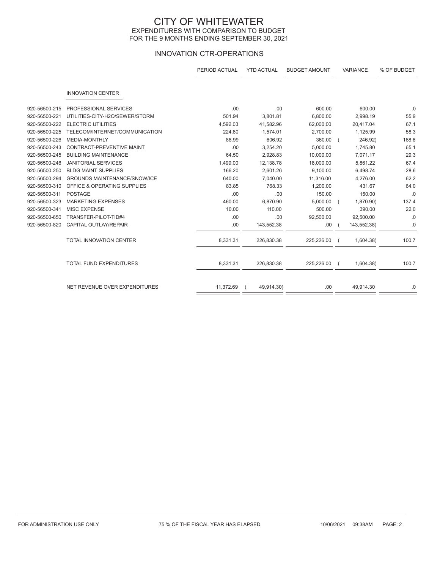### CITY OF WHITEWATER EXPENDITURES WITH COMPARISON TO BUDGET FOR THE 9 MONTHS ENDING SEPTEMBER 30, 2021

## INNOVATION CTR-OPERATIONS

|               |                                     | PERIOD ACTUAL | <b>YTD ACTUAL</b> | <b>BUDGET AMOUNT</b> | VARIANCE    | % OF BUDGET |
|---------------|-------------------------------------|---------------|-------------------|----------------------|-------------|-------------|
|               | <b>INNOVATION CENTER</b>            |               |                   |                      |             |             |
| 920-56500-215 | PROFESSIONAL SERVICES               | .00           | .00               | 600.00               | 600.00      | .0          |
| 920-56500-221 | UTILITIES-CITY-H2O/SEWER/STORM      | 501.94        | 3,801.81          | 6,800.00             | 2,998.19    | 55.9        |
| 920-56500-222 | <b>ELECTRIC UTILITIES</b>           | 4,592.03      | 41,582.96         | 62,000.00            | 20,417.04   | 67.1        |
| 920-56500-225 | TELECOM/INTERNET/COMMUNICATION      | 224.80        | 1,574.01          | 2,700.00             | 1,125.99    | 58.3        |
| 920-56500-226 | <b>MEDIA-MONTHLY</b>                | 88.99         | 606.92            | 360.00               | 246.92)     | 168.6       |
| 920-56500-243 | CONTRACT-PREVENTIVE MAINT           | .00           | 3,254.20          | 5,000.00             | 1,745.80    | 65.1        |
| 920-56500-245 | <b>BUILDING MAINTENANCE</b>         | 64.50         | 2,928.83          | 10,000.00            | 7,071.17    | 29.3        |
| 920-56500-246 | <b>JANITORIAL SERVICES</b>          | 1,499.00      | 12,138.78         | 18,000.00            | 5,861.22    | 67.4        |
| 920-56500-250 | <b>BLDG MAINT SUPPLIES</b>          | 166.20        | 2,601.26          | 9,100.00             | 6,498.74    | 28.6        |
| 920-56500-294 | <b>GROUNDS MAINTENANCE/SNOW/ICE</b> | 640.00        | 7,040.00          | 11,316.00            | 4,276.00    | 62.2        |
| 920-56500-310 | OFFICE & OPERATING SUPPLIES         | 83.85         | 768.33            | 1,200.00             | 431.67      | 64.0        |
| 920-56500-311 | <b>POSTAGE</b>                      | .00           | .00               | 150.00               | 150.00      | .0          |
| 920-56500-323 | <b>MARKETING EXPENSES</b>           | 460.00        | 6,870.90          | 5,000.00             | 1,870.90)   | 137.4       |
| 920-56500-341 | <b>MISC EXPENSE</b>                 | 10.00         | 110.00            | 500.00               | 390.00      | 22.0        |
| 920-56500-650 | TRANSFER-PILOT-TID#4                | .00           | .00               | 92,500.00            | 92,500.00   | .0          |
| 920-56500-820 | <b>CAPITAL OUTLAY/REPAIR</b>        | .00           | 143,552.38        | .00                  | 143,552.38) | .0          |
|               | <b>TOTAL INNOVATION CENTER</b>      | 8,331.31      | 226,830.38        | 225,226.00           | 1,604.38    | 100.7       |
|               | <b>TOTAL FUND EXPENDITURES</b>      | 8,331.31      | 226,830.38        | 225,226.00           | 1,604.38    | 100.7       |
|               | NET REVENUE OVER EXPENDITURES       | 11,372.69     | 49,914.30)        | .00                  | 49,914.30   | .0          |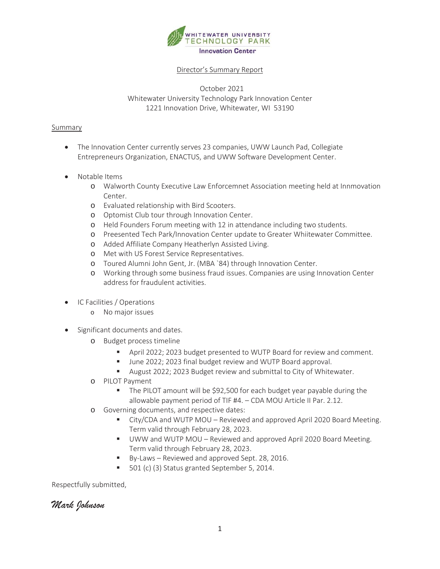

## Director's Summary Report

October 2021 Whitewater University Technology Park Innovation Center 1221 Innovation Drive, Whitewater, WI 53190

#### Summary

- The Innovation Center currently serves 23 companies, UWW Launch Pad, Collegiate Entrepreneurs Organization, ENACTUS, and UWW Software Development Center.
- Notable Items
	- o Walworth County Executive Law Enforcemnet Association meeting held at Innmovation Center.
	- o Evaluated relationship with Bird Scooters.
	- o Optomist Club tour through Innovation Center.
	- o Held Founders Forum meeting with 12 in attendance including two students.
	- o Preesented Tech Park/Innovation Center update to Greater Whiitewater Committee.
	- o Added Affiliate Company Heatherlyn Assisted Living.
	- o Met with US Forest Service Representatives.
	- o Toured Alumni John Gent, Jr. (MBA `84) through Innovation Center.
	- o Working through some business fraud issues. Companies are using Innovation Center address for fraudulent activities.
- IC Facilities / Operations
	- o No major issues
- Significant documents and dates.
	- o Budget process timeline
		- April 2022; 2023 budget presented to WUTP Board for review and comment.
		- June 2022; 2023 final budget review and WUTP Board approval.
		- August 2022; 2023 Budget review and submittal to City of Whitewater.
	- o PILOT Payment
		- The PILOT amount will be \$92,500 for each budget year payable during the allowable payment period of TIF #4. – CDA MOU Article II Par. 2.12.
	- o Governing documents, and respective dates:
		- City/CDA and WUTP MOU Reviewed and approved April 2020 Board Meeting. Term valid through February 28, 2023.
		- **UWW and WUTP MOU Reviewed and approved April 2020 Board Meeting.** Term valid through February 28, 2023.
		- By-Laws Reviewed and approved Sept. 28, 2016.
		- 501 (c) (3) Status granted September 5, 2014.

Respectfully submitted,

*Mark Johnson*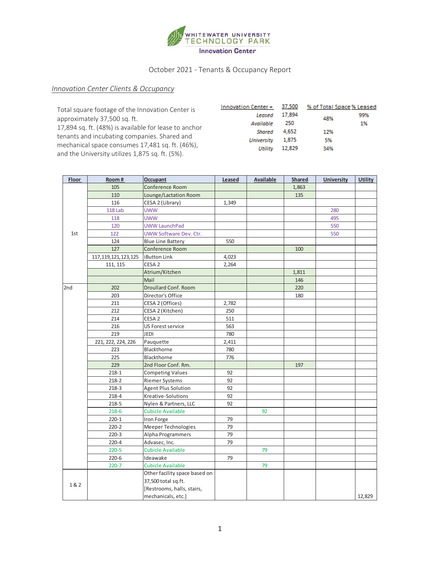

# October 2021 - Tenants & Occupancy Report

# *Innovation Center Clients & Occupancy*

| Total square footage of the Innovation Center is                                                      | <b>Innovation Center = <math>37,500</math></b> |                | % of Total Space % Leased |           |
|-------------------------------------------------------------------------------------------------------|------------------------------------------------|----------------|---------------------------|-----------|
| approximately 37,500 sq. ft.                                                                          | Leased<br>Available                            | 17,894<br>250  | 48%                       | 99%<br>1% |
| 17,894 sq. ft. (48%) is available for lease to anchor<br>tenants and incubating companies. Shared and | Shared<br><b>University</b>                    | 4.652<br>1,875 | 12%<br>5%                 |           |
| mechanical space consumes 17,481 sq. ft. (46%),<br>and the University utilizes 1,875 sq. ft. (5%).    | Utility                                        | 12,829         | 34%                       |           |

| <b>Floor</b> | Room#                   | Occupant                      | Leased | <b>Available</b> | <b>Shared</b> | <b>University</b> | <b>Utility</b> |
|--------------|-------------------------|-------------------------------|--------|------------------|---------------|-------------------|----------------|
|              | 105                     | Conference Room               |        |                  | 1,863         |                   |                |
|              | 110                     | Lounge/Lactation Room         |        |                  | 135           |                   |                |
|              | 116                     | CESA 2 (Library)              | 1,349  |                  |               |                   |                |
|              | <b>118 Lab</b>          | <b>UWW</b>                    |        |                  |               | 280               |                |
|              | 118                     | <b>UWW</b>                    |        |                  |               | 495               |                |
|              | 120                     | <b>UWW LaunchPad</b>          |        |                  |               | 550               |                |
| 1st          | 122                     | UWW Software Dev. Ctr.        |        |                  |               | 550               |                |
|              | 124                     | <b>Blue Line Battery</b>      | 550    |                  |               |                   |                |
|              | 127                     | Conference Room               |        |                  | 100           |                   |                |
|              | 117, 119, 121, 123, 125 | iButton Link                  | 4,023  |                  |               |                   |                |
|              | 111, 115                | CESA <sub>2</sub>             | 2,264  |                  |               |                   |                |
|              |                         | Atrium/Kitchen                |        |                  | 1,811         |                   |                |
|              |                         | Mail                          |        |                  | 146           |                   |                |
| 2nd          | 202                     | <b>Droullard Conf. Room</b>   |        |                  | 220           |                   |                |
|              | 203                     | Director's Office             |        |                  | 180           |                   |                |
|              | 211                     | CESA 2 (Offices)              | 2,782  |                  |               |                   |                |
|              | 212                     | CESA 2 (Kitchen)              | 250    |                  |               |                   |                |
|              | 214                     | CESA <sub>2</sub>             | 511    |                  |               |                   |                |
|              | 216                     | <b>US Forest service</b>      | 563    |                  |               |                   |                |
|              | 219                     | <b>JEDI</b>                   | 780    |                  |               |                   |                |
|              | 221, 222, 224, 226      | Pauquette                     | 2,411  |                  |               |                   |                |
|              | 223                     | Blackthorne                   | 780    |                  |               |                   |                |
|              | 225                     | Blackthorne                   | 776    |                  |               |                   |                |
|              | 229                     | 2nd Floor Conf. Rm.           |        |                  | 197           |                   |                |
|              | $218 - 1$               | <b>Competing Values</b>       | 92     |                  |               |                   |                |
|              | $218 - 2$               | <b>Riemer Systems</b>         | 92     |                  |               |                   |                |
|              | $218-3$                 | <b>Agent Plus Solution</b>    | 92     |                  |               |                   |                |
|              | $218 - 4$               | Kreative-Solutions            | 92     |                  |               |                   |                |
|              | 218-5                   | Nylen & Partners, LLC         | 92     |                  |               |                   |                |
|              | $218 - 6$               | <b>Cubicle Available</b>      |        | 92               |               |                   |                |
|              | $220 - 1$               | Iron Forge                    | 79     |                  |               |                   |                |
|              | $220 - 2$               | Meeper Technologies           | 79     |                  |               |                   |                |
|              | $220-3$                 | Alpha Programmers             | 79     |                  |               |                   |                |
|              | $220 - 4$               | Advasec, Inc.                 | 79     |                  |               |                   |                |
|              | $220 - 5$               | <b>Cubicle Available</b>      |        | 79               |               |                   |                |
|              | 220-6                   | Ideawake                      | 79     |                  |               |                   |                |
|              | $220 - 7$               | <b>Cubicle Available</b>      |        | 79               |               |                   |                |
|              |                         | Other facility space based on |        |                  |               |                   |                |
|              |                         | 37,500 total sq.ft.           |        |                  |               |                   |                |
| 1&2          |                         | [Restrooms, halls, stairs,    |        |                  |               |                   |                |
|              |                         | mechanicals, etc.]            |        |                  |               |                   | 12,829         |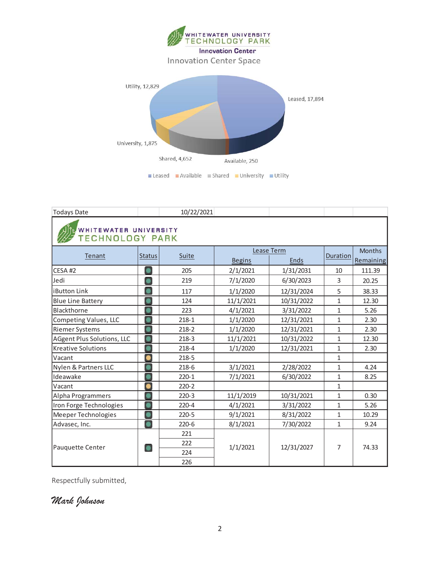

| <b>Todays Date</b>         |                                                 | 10/22/2021 |               |            |                |           |  |  |  |  |  |  |
|----------------------------|-------------------------------------------------|------------|---------------|------------|----------------|-----------|--|--|--|--|--|--|
|                            | WHITEWATER UNIVERSITY<br><b>TECHNOLOGY PARK</b> |            |               |            |                |           |  |  |  |  |  |  |
| Tenant                     | <b>Status</b>                                   | Suite      | Lease Term    | Duration   | <b>Months</b>  |           |  |  |  |  |  |  |
|                            |                                                 |            | <b>Begins</b> | Ends       |                | Remaining |  |  |  |  |  |  |
| CESA <sub>#2</sub>         | ٠                                               | 205        | 2/1/2021      | 1/31/2031  | 10             | 111.39    |  |  |  |  |  |  |
| Jedi                       |                                                 | 219        | 7/1/2020      | 6/30/2023  | 3              | 20.25     |  |  |  |  |  |  |
| <b>iButton Link</b>        |                                                 | 117        | 1/1/2020      | 12/31/2024 | 5              | 38.33     |  |  |  |  |  |  |
| <b>Blue Line Battery</b>   |                                                 | 124        | 11/1/2021     | 10/31/2022 | $\mathbf{1}$   | 12.30     |  |  |  |  |  |  |
| Blackthorne                |                                                 | 223        | 4/1/2021      | 3/31/2022  | $\mathbf{1}$   | 5.26      |  |  |  |  |  |  |
| Competing Values, LLC      |                                                 | $218 - 1$  | 1/1/2020      | 12/31/2021 | $\mathbf{1}$   | 2.30      |  |  |  |  |  |  |
| <b>Riemer Systems</b>      |                                                 | $218 - 2$  | 1/1/2020      | 12/31/2021 | 1              | 2.30      |  |  |  |  |  |  |
| AGgent Plus Solutions, LLC |                                                 | $218-3$    | 11/1/2021     | 10/31/2022 | $\mathbf{1}$   | 12.30     |  |  |  |  |  |  |
| <b>Kreative Solutions</b>  |                                                 | $218 - 4$  | 1/1/2020      | 12/31/2021 | 1              | 2.30      |  |  |  |  |  |  |
| Vacant                     | $\bullet$                                       | $218 - 5$  |               |            | $\mathbf{1}$   |           |  |  |  |  |  |  |
| Nylen & Partners LLC       |                                                 | 218-6      | 3/1/2021      | 2/28/2022  | $\mathbf{1}$   | 4.24      |  |  |  |  |  |  |
| Ideawake                   |                                                 | $220 - 1$  | 7/1/2021      | 6/30/2022  | $\mathbf{1}$   | 8.25      |  |  |  |  |  |  |
| Vacant                     | 8                                               | $220 - 2$  |               |            | 1              |           |  |  |  |  |  |  |
| Alpha Programmers          |                                                 | $220-3$    | 11/1/2019     | 10/31/2021 | 1              | 0.30      |  |  |  |  |  |  |
| Iron Forge Technologies    |                                                 | $220 - 4$  | 4/1/2021      | 3/31/2022  | 1              | 5.26      |  |  |  |  |  |  |
| Meeper Technologies        |                                                 | $220 - 5$  | 9/1/2021      | 8/31/2022  | 1              | 10.29     |  |  |  |  |  |  |
| Advasec, Inc.              |                                                 | $220-6$    | 8/1/2021      | 7/30/2022  | $\mathbf{1}$   | 9.24      |  |  |  |  |  |  |
|                            |                                                 | 221        |               |            |                |           |  |  |  |  |  |  |
|                            | $\bullet$                                       | 222        | 1/1/2021      | 12/31/2027 | $\overline{7}$ | 74.33     |  |  |  |  |  |  |
| Pauquette Center           |                                                 | 224        |               |            |                |           |  |  |  |  |  |  |
|                            |                                                 | 226        |               |            |                |           |  |  |  |  |  |  |

Respectfully submitted,

*Mark Johnson*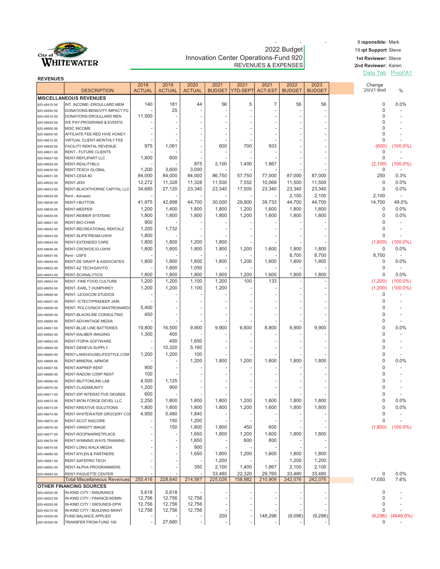

# e a sponsible: Mark<br>2022 Budget 19 pt Support Steve Innovation Center Operations-Fund 920 **1st Reviewer: Steve** REVENUES & EXPENSES

19 pt Support Steve

2nd Reviewer: Karen Data Tab Pivot!A1

| <b>REVENUES</b>              |                                                       |                          |                          |                       |                       |                  |                        |                       |                       |                      |               |
|------------------------------|-------------------------------------------------------|--------------------------|--------------------------|-----------------------|-----------------------|------------------|------------------------|-----------------------|-----------------------|----------------------|---------------|
|                              | <b>DESCRIPTION</b>                                    | 2018<br><b>ACTUAL</b>    | 2019<br><b>ACTUAL</b>    | 2020<br><b>ACTUAL</b> | 2021<br><b>BUDGET</b> | 2021<br>YTD-SEPT | 2021<br><b>ACT-EST</b> | 2022<br><b>BUDGET</b> | 2023<br><b>BUDGET</b> | Change<br>'20/21 Bud | $\frac{0}{0}$ |
|                              | <b>MISCELLANEOUS REVENUES</b>                         |                          |                          |                       |                       |                  |                        |                       |                       |                      |               |
| 920-48410-56                 | INT. INCOME--DROULLARD MEM                            | 140                      | 181                      | 44                    | 56                    | 5                | $\overline{7}$         | 56                    | 56                    | 0                    | 0.0%          |
| 920-48500-56                 | DONATIONS-BENEVITY IMPACT FD                          |                          | 25                       |                       |                       |                  |                        |                       |                       | $\Omega$             |               |
| 920-48510-56                 | DONATIONS-DROULLARD MEN                               | 11,500                   |                          |                       |                       |                  |                        |                       |                       | $\Omega$             |               |
| 920-48530-56                 | WE PAY-PROGRAMS & EVENTS                              |                          |                          |                       |                       |                  |                        |                       |                       |                      |               |
| 920-48600-56                 | MISC INCOME<br>AFFILIATE FEE-RED HIVE HONEY           |                          |                          |                       |                       |                  |                        |                       |                       | U                    |               |
| 920-48605-56<br>920-48615.56 | VIRTUAL CLIENT-MONTHLY FEE                            |                          |                          |                       |                       |                  |                        |                       |                       | 0                    |               |
| 920-48620-56                 | FACILITY RENTAL REVENUE                               | 975                      | 1,081                    |                       | 600                   | 700              | 933                    |                       |                       | (600)                | $(100.0\%)$   |
| 920-48621-56                 | <b>RENT - FUTURE CLIENTS</b>                          |                          |                          |                       |                       |                  |                        |                       |                       | 0                    |               |
| 920-48627-56                 | RENT-REPLIPART LLC                                    | 1,800                    | 600                      |                       |                       |                  |                        |                       |                       | 0                    |               |
| 920-48629-56                 | RENT-REALITYBLU<br><b>RENT-TESCH GLOBAL</b>           | 1,200                    | 3,600                    | 875<br>3,000          | 2,100                 | 1,400            | 1,867                  |                       |                       | (2,100)<br>0         | $(100.0\%)$   |
| 920-48630-56<br>920-48631-56 | RENT-CESA #2                                          | 84,000                   | 84,000                   | 84,000                | 86,750                | 57,750           | 77,000                 | 87,000                | 87,000                | 250                  | 0.3%          |
| 920-48632-56                 | RENT-JEDI                                             | 12,272                   | 11,328                   | 11,328                | 11,500                | 7,552            | 10,069                 | 11,500                | 11,500                | 0                    | 0.0%          |
| 920-48633-56                 | RENT-BLACKTHORNE CAPITAL LLC                          | 34,680                   | 27,120                   | 23,340                | 23,340                | 17,505           | 23,340                 | 23,340                | 23,340                | 0                    | 0.0%          |
| 920-48635-56                 | Rent - Advasec                                        |                          |                          |                       |                       |                  |                        | 2,100                 | 2,100                 | 2,100                |               |
| 920-48636-56                 | RENT-I-BUTTON                                         | 41,975                   | 42,898                   | 44,700                | 30,000                | 29,800           | 39,733                 | 44,700                | 44,700                | 14,700               | 49.0%         |
| 920-48639-56                 | <b>RENT-MEEPER</b>                                    | 1,200                    | 1,400                    | 1,800                 | 1,800                 | 1,200            | 1,600                  | 1,800                 | 1,800                 | 0                    | 0.0%          |
| 920-48640-56                 | <b>RENT-REIMER SYSTEMS</b>                            | 1,800                    | 1,800                    | 1,800                 | 1,800                 | 1,200            | 1,600                  | 1,800                 | 1,800                 | $\mathbf 0$          | 0.0%          |
| 920-48641-56                 | RENT-BIO-CHAR                                         | 900                      |                          |                       |                       |                  |                        |                       |                       | 0                    |               |
| 920-48642-56                 | RENT-RECREATIONAL RENTALZ                             | 1,200                    | 1,732                    |                       |                       |                  |                        |                       |                       | 0                    |               |
| 920-48643-56                 | RENT-SLIPSTREAM-UWW                                   | 1,800                    |                          |                       |                       |                  |                        |                       |                       | $\Omega$             |               |
| 920-48644-56                 | RENT-EXTENDED CARE                                    | 1,800                    | 1,800                    | 1,200                 | 1,800                 |                  |                        |                       |                       | (1,800)              | (100.0%)      |
| 920-48646-56                 | RENT-CROWDS.IO-UWW                                    | 1,800                    | 1,800                    | 1,800                 | 1,800                 | 1,200            | 1,600                  | 1,800                 | 1,800                 | 0                    | 0.0%          |
| 920-48647-56<br>920-48649-56 | Rent - USFS<br>RENT-DE GRAFF & ASSOCIATES             | 1,800                    | 1,800                    | 1,800                 | 1,800                 | 1,200            | 1,600                  | 8,700<br>1,800        | 8,700<br>1,800        | 8,700<br>0           | 0.0%          |
| 920-48652-56                 | RENT-AZ TECH/GAVITO                                   |                          | 1,800                    | 1,050                 |                       |                  |                        |                       |                       | 0                    |               |
| 920-48653-56                 | RENT-SCANALYTICS                                      | 1,800                    | 1,800                    | 1,800                 | 1,800                 | 1,200            | 1,600                  | 1,800                 | 1,800                 | 0                    | 0.0%          |
| 920-48654-56                 | RENT- FINE FOOD CULTURE                               | 1,200                    | 1,200                    | 1,100                 | 1,200                 | 100              | 133                    |                       |                       | (1,200)              | $(100.0\%)$   |
| 920-48655-56                 | RENT- EARL T HUMPHREY                                 | 1,200                    | 1,200                    | 1,100                 | 1,200                 |                  |                        |                       |                       | (1,200)              | $(100.0\%)$   |
| 920-48656-56                 | RENT- LEXXICON STUDIOS                                |                          |                          |                       |                       |                  |                        |                       |                       | $\Omega$             |               |
| 920-48657-56                 | RENT- ICTECT/PRADEEP JAIN                             |                          |                          |                       |                       |                  |                        |                       |                       | U                    |               |
| 920-48658-56                 | RENT- POLCO/NICK MASTRONARDI                          | 5,400                    |                          |                       |                       |                  |                        |                       |                       | U                    |               |
| 920-48659-56                 | RENT-BLACKLINE CONSULTING                             | 450                      |                          |                       |                       |                  |                        |                       |                       | $\Omega$             |               |
| 920-48660-56                 | RENT-ADVANTAGE MEDIA                                  |                          |                          |                       |                       |                  |                        |                       |                       | $\Omega$             |               |
| 920-48661-56                 | RENT-BLUE LINE BATTERIES                              | 19,800                   | 16,500                   | 9,900                 | 9,900                 | 6,600            | 8,800                  | 9,900                 | 9,900                 | $\mathbf 0$          | 0.0%          |
| 920-48662-56                 | RENT-KALIBER IMAGING                                  | 1,300                    | 400                      |                       |                       |                  |                        |                       |                       | $\Omega$             |               |
| 920-48663-56                 | RENT-ITOPIA SOFTWARE                                  |                          | 450                      | 1,650                 |                       |                  |                        |                       |                       | $\Omega$<br>U        |               |
| 920-48664-56                 | RENT-GENEVA SUPPLY<br>RENT-LAKEHOUSELIFESTYLE.COM     | 1,200                    | 10,320<br>1,200          | 5,160<br>100          |                       |                  |                        |                       |                       | $\Omega$             |               |
| 920-48665-56<br>920-48666-56 | RENT-MINERAL ARMOR                                    |                          |                          | 1,200                 | 1,800                 | 1,200            | 1,600                  | 1,800                 | 1,800                 | $\Omega$             | 0.0%          |
| 920-48667-56                 | <b>RENT-KAPREP RENT</b>                               | 900                      |                          |                       |                       |                  |                        |                       |                       | $\Omega$             |               |
| 920-48668-56                 | RENT-RADOM CORP RENT                                  | 100                      |                          |                       |                       |                  |                        |                       |                       |                      |               |
| 920-48669-56                 | RENT-IBUTTONLINK LAB                                  | 4,500                    | 1,125                    |                       |                       |                  |                        |                       |                       |                      |               |
| 920-48670-56                 | <b>RENT-CLASSMUNITY</b>                               | 1,200                    | 900                      |                       |                       |                  |                        |                       |                       |                      |               |
| 920-48671-56                 | RENT-IDP INTERACTIVE DEGREE                           | 600                      |                          |                       |                       |                  |                        |                       |                       | $\Omega$             |               |
| 920-48672-56                 | RENT-IRON FORGE DEVEL LLC                             | 2,250                    | 1,800                    | 1,800                 | 1,800                 | 1,200            | 1,600                  | 1,800                 | 1,800                 | 0                    | 0.0%          |
| 920-48673-56                 | RENT-KREATIVE SOLUTIONS                               | 1,800                    | 1,800                    | 1,800                 | 1,800                 | 1,200            | 1,600                  | 1,800                 | 1,800                 | 0                    | 0.0%          |
| 920-48674-56                 | RENT-WHITEWATER GROCERY CO                            | 4,950                    | 5,480                    | 1,840                 |                       |                  |                        |                       |                       | 0                    |               |
| 920-48675-56                 | RENT-SCOT INSCORE                                     |                          | 150                      | 1,200                 |                       |                  |                        |                       |                       | 0                    |               |
| 920-48676-56                 | RENT-VARSITY IMAGE                                    |                          | 150                      | 1,800                 | 1,800                 | 450              | 600                    |                       |                       | (1,800)              | $(100.0\%)$   |
| 920-48677-56                 | RENT-ROOFMARKETPLACE                                  |                          |                          | 1,650                 | 1,800                 | 1,200            | 1,600                  | 1,800                 | 1,800                 |                      |               |
| 920-48678-56                 | RENT-WINNING WAYS TRAINING                            |                          |                          | 1,650                 |                       | 600              | 800                    |                       |                       |                      |               |
| 920-48679-56                 | RENT-LONG WALK MEDIA                                  |                          | $\overline{\phantom{a}}$ | 900                   |                       |                  |                        |                       |                       |                      |               |
| 920-48680-56                 | RENT-NYLEN & PARTNERS                                 |                          |                          | 1,650                 | 1,800                 | 1,200            | 1,600                  | 1,800                 | 1,800                 |                      |               |
| 920-48681-56<br>920-48682-56 | RENT-SAFEPRO TECH<br>RENT-ALPHA PROGRAMMERS           |                          |                          | 350                   | 1,200<br>2,100        | 1,400            | 1,867                  | 1,200<br>2,100        | 1,200<br>2,100        |                      |               |
| 920-48683-56                 | RENT-PAQUETTE CENTER                                  |                          |                          |                       | 33,480                | 22,320           | 29,760                 | 33,480                | 33,480                | 0                    | 0.0%          |
|                              | <b>Total Miscellaneous Revenues</b>                   | 250,416                  | 228,640                  | 214,587               | 225,026               | 158,982          | 210,909                | 242,076               | 242,076               | 17,050               | 7.6%          |
|                              | <b>OTHER FINANCING SOURCES</b>                        |                          |                          |                       |                       |                  |                        |                       |                       |                      |               |
| 920-49200-56                 | IN-KIND CITY / INSURANCE                              | 5,618                    | 5,618                    |                       |                       |                  |                        |                       |                       | 0                    |               |
| 920-49202-56                 | IN-KIND CITY / FINANCE/ADMIN                          | 12,756                   | 12,756                   | 12,756                |                       |                  |                        |                       |                       | 0                    |               |
| 920-49205-56                 | IN-KIND CITY / GROUNDS-DPW                            | 12,756<br>12,756         | 12,756<br>12,756         | 12,756<br>12,756      |                       |                  |                        |                       |                       | $\Omega$<br>0        |               |
| 920-49215-56<br>920-49300-56 | IN-KIND CITY / BUILDING MAINT<br>FUND BALANCE APPLIED |                          |                          |                       | 200                   | -                | 148,298                | (9,096)               | (9,296)               | (9,296)              | $(4648.0\%)$  |
| 920-49305-56                 | TRANSFER FROM FUND 100                                | $\overline{\phantom{m}}$ | 27,680                   |                       |                       |                  |                        |                       |                       | 0                    |               |